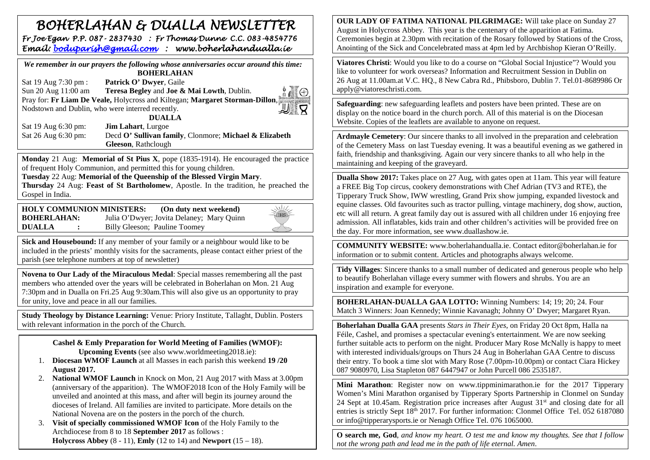## *BOHERLAHAN & DUALLA NEWSLETTER Fr Joe Egan P.P. 087- 2837430 : Fr Thomas Dunne C.C. 083-4854776 Email: [boduparish@gmail.com](mailto:boduparish@gmail.com) : www.boherlahandualla.ie*

| We remember in our prayers the following whose anniversaries occur around this time: |  |
|--------------------------------------------------------------------------------------|--|
| <b>BOHERLAHAN</b>                                                                    |  |
| Patrick O' Dwyer, Gaile<br>Sat 19 Aug 7:30 pm :                                      |  |
| Sun 20 Aug 11:00 am<br>Teresa Begley and Joe & Mai Lowth, Dublin.                    |  |
| Pray for: Fr Liam De Veale, Holycross and Kiltegan; Margaret Storman-Dillon,         |  |
| Nodstown and Dublin, who were interred recently.                                     |  |
| <b>DUALLA</b>                                                                        |  |
| Jim Lahart, Lurgoe<br>Sat 19 Aug 6:30 pm:                                            |  |
| Sat 26 Aug 6:30 pm:<br>Decd O' Sullivan family, Clonmore; Michael & Elizabeth        |  |
| Gleeson, Rathclough                                                                  |  |

**Monday** 21 Aug: **Memorial of St Pius X**, pope (1835-1914). He encouraged the practice of frequent Holy Communion, and permitted this for young children.

**Tuesday** 22 Aug: **Memorial of the Queenship of the Blessed Virgin Mary**.

**Thursday** 24 Aug: **Feast of St Bartholomew**, Apostle. In the tradition, he preached the Gospel in India.

**HOLY COMMUNION MINISTERS: (On duty next weekend) BOHERLAHAN:** Julia O'Dwyer; Jovita Delaney; Mary Quinn<br>**DUALLA** : Billy Gleeson: Pauline Toomey **Billy Gleeson; Pauline Toomey** 



**Sick and Housebound:** If any member of your family or a neighbour would like to be included in the priests' monthly visits for the sacraments, please contact either priest of the parish (see telephone numbers at top of newsletter)

**Novena to Our Lady of the Miraculous Medal**: Special masses remembering all the past members who attended over the years will be celebrated in Boherlahan on Mon. 21 Aug 7:30pm and in Dualla on Fri.25 Aug 9:30am.This will also give us an opportunity to pray for unity, love and peace in all our families.

**Study Theology by Distance Learning:** Venue: Priory Institute, Tallaght, Dublin. Posters with relevant information in the porch of the Church.

> **Cashel & Emly Preparation for World Meeting of Families (WMOF): Upcoming Events** (see also www.worldmeeting2018.ie):

- 1. **Diocesan WMOF Launch** at all Masses in each parish this weekend **19 /20 August 2017.**
- 2. **National WMOF Launch** in Knock on Mon, 21 Aug 2017 with Mass at 3.00pm (anniversary of the apparition). The WMOF2018 Icon of the Holy Family will be unveiled and anointed at this mass, and after will begin its journey around the dioceses of Ireland. All families are invited to participate. More details on the National Novena are on the posters in the porch of the church.
- 3. **Visit of specially commissioned WMOF Icon** of the Holy Family to the Archdiocese from 8 to 18 **September 2017** as follows : **Holycross Abbey** (8 - 11), **Emly** (12 to 14) and **Newport** (15 – 18).

**OUR LADY OF FATIMA NATIONAL PILGRIMAGE:** Will take place on Sunday 27 August in Holycross Abbey. This year is the centenary of the apparition at Fatima. Ceremonies begin at 2.30pm with recitation of the Rosary followed by Stations of the Cross, Anointing of the Sick and Concelebrated mass at 4pm led by Archbishop Kieran O'Reilly.

**Viatores Christi**: Would you like to do a course on "Global Social Injustice"? Would you like to volunteer for work overseas? Information and Recruitment Session in Dublin on 26 Aug at 11.00am.at V.C. HQ., 8 New Cabra Rd., Phibsboro, Dublin 7. Tel.01-8689986 Or apply@viatoreschristi.com.

**Safeguarding**: new safeguarding leaflets and posters have been printed. These are on display on the notice board in the church porch. All of this material is on the Diocesan Website. Copies of the leaflets are available to anyone on request.

**Ardmayle Cemetery**: Our sincere thanks to all involved in the preparation and celebration of the Cemetery Mass on last Tuesday evening. It was a beautiful evening as we gathered in faith, friendship and thanksgiving. Again our very sincere thanks to all who help in the maintaining and keeping of the graveyard.

**Dualla Show 2017:** Takes place on 27 Aug, with gates open at 11am. This year will feature a FREE Big Top circus, cookery demonstrations with Chef Adrian (TV3 and RTE), the Tipperary Truck Show, IWW wrestling, Grand Prix show jumping, expanded livestock and equine classes. Old favourites such as tractor pulling, vintage machinery, dog show, auction, etc will all return. A great family day out is assured with all children under 16 enjoying free admission. All inflatables, kids train and other children's activities will be provided free on the day. For more information, see www.duallashow.ie.

**COMMUNITY WEBSITE:** www.boherlahandualla.ie. Contact editor@boherlahan.ie for information or to submit content. Articles and photographs always welcome.

**Tidy Villages**: Sincere thanks to a small number of dedicated and generous people who help to beautify Boherlahan village every summer with flowers and shrubs. You are an inspiration and example for everyone.

**BOHERLAHAN-DUALLA GAA LOTTO:** Winning Numbers: 14; 19; 20; 24. Four Match 3 Winners: Joan Kennedy; Winnie Kavanagh; Johnny O' Dwyer; Margaret Ryan.

**Boherlahan Dualla GAA** presents *Stars in Their Eyes*, on Friday 20 Oct 8pm, Halla na Féile, Cashel, and promises a spectacular evening's entertainment. We are now seeking further suitable acts to perform on the night. Producer Mary Rose McNally is happy to meet with interested individuals/groups on Thurs 24 Aug in Boherlahan GAA Centre to discuss their entry. To book a time slot with Mary Rose (7.00pm-10.00pm) or contact Ciara Hickey 087 9080970, Lisa Stapleton 087 6447947 or John Purcell 086 2535187.

**Mini Marathon**: Register now on www.tippminimarathon.ie for the 2017 Tipperary Women's Mini Marathon organised by Tipperary Sports Partnership in Clonmel on Sunday 24 Sept at 10.45am. Registration price increases after August  $31<sup>st</sup>$  and closing date for all entries is strictly Sept 18<sup>th</sup> 2017. For further information: Clonmel Office Tel. 052 6187080 or info@tipperarysports.ie or Nenagh Office Tel. 076 1065000.

**O search me, God**, *and know my heart. O test me and know my thoughts. See that I follow not the wrong path and lead me in the path of life eternal. Amen*.